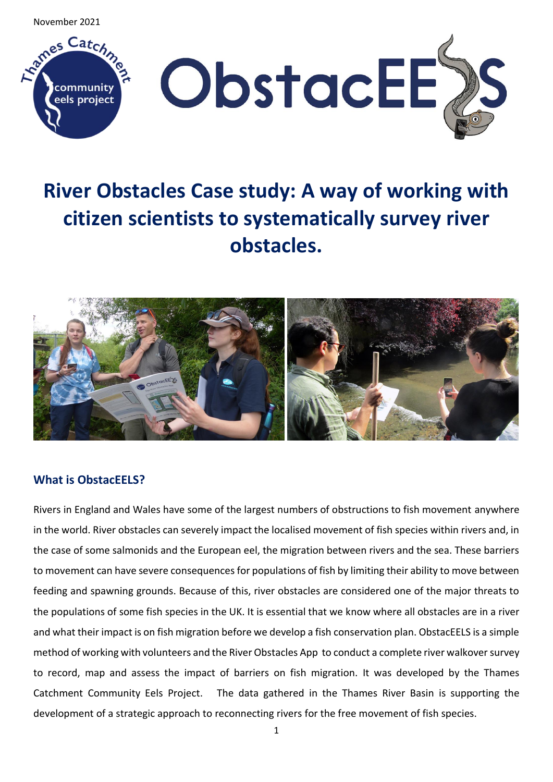November 2021



# **River Obstacles Case study: A way of working with citizen scientists to systematically survey river obstacles.**



# **What is ObstacEELS?**

Rivers in England and Wales have some of the largest numbers of obstructions to fish movement anywhere in the world. River obstacles can severely impact the localised movement of fish species within rivers and, in the case of some salmonids and the European eel, the migration between rivers and the sea. These barriers to movement can have severe consequences for populations of fish by limiting their ability to move between feeding and spawning grounds. Because of this, river obstacles are considered one of the major threats to the populations of some fish species in the UK. It is essential that we know where all obstacles are in a river and what their impact is on fish migration before we develop a fish conservation plan. ObstacEELS is a simple method of working with volunteers and the River Obstacles App to conduct a complete river walkover survey to record, map and assess the impact of barriers on fish migration. It was developed by the Thames Catchment Community Eels Project. The data gathered in the Thames River Basin is supporting the development of a strategic approach to reconnecting rivers for the free movement of fish species.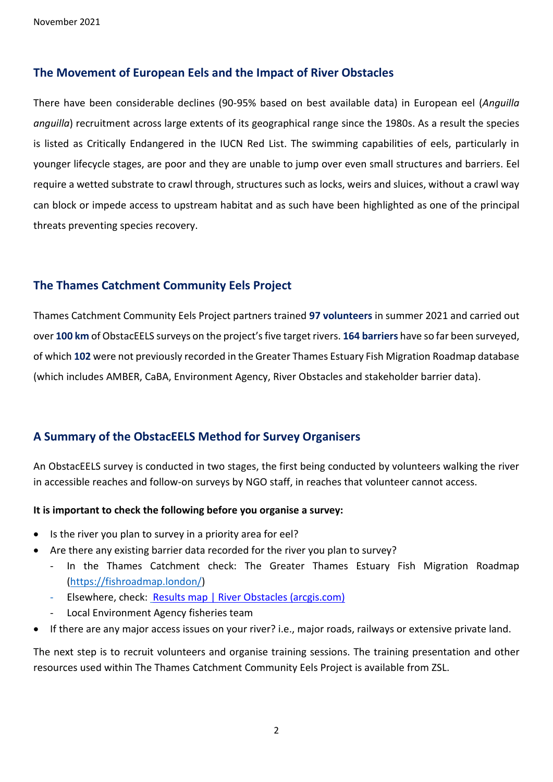## **The Movement of European Eels and the Impact of River Obstacles**

There have been considerable declines (90-95% based on best available data) in European eel (*Anguilla anguilla*) recruitment across large extents of its geographical range since the 1980s. As a result the species is listed as Critically Endangered in the IUCN Red List. The swimming capabilities of eels, particularly in younger lifecycle stages, are poor and they are unable to jump over even small structures and barriers. Eel require a wetted substrate to crawl through, structures such as locks, weirs and sluices, without a crawl way can block or impede access to upstream habitat and as such have been highlighted as one of the principal threats preventing species recovery.

## **The Thames Catchment Community Eels Project**

Thames Catchment Community Eels Project partners trained **97 volunteers** in summer 2021 and carried out over **100 km** of ObstacEELS surveys on the project's five target rivers. **164 barriers** have so far been surveyed, of which **102** were not previously recorded in the Greater Thames Estuary Fish Migration Roadmap database (which includes AMBER, CaBA, Environment Agency, River Obstacles and stakeholder barrier data).

# **A Summary of the ObstacEELS Method for Survey Organisers**

An ObstacEELS survey is conducted in two stages, the first being conducted by volunteers walking the river in accessible reaches and follow-on surveys by NGO staff, in reaches that volunteer cannot access.

#### **It is important to check the following before you organise a survey:**

- Is the river you plan to survey in a priority area for eel?
- Are there any existing barrier data recorded for the river you plan to survey?
	- In the Thames Catchment check: The Greater Thames Estuary Fish Migration Roadmap [\(https://fishroadmap.london/\)](https://fishroadmap.london/)
		- Elsewhere, check: [Results map | River Obstacles \(arcgis.com\)](https://river-obstacles-theriverstrust.hub.arcgis.com/pages/results-map)
		- Local Environment Agency fisheries team
- If there are any major access issues on your river? i.e., major roads, railways or extensive private land.

The next step is to recruit volunteers and organise training sessions. The training presentation and other resources used within The Thames Catchment Community Eels Project is available from ZSL.